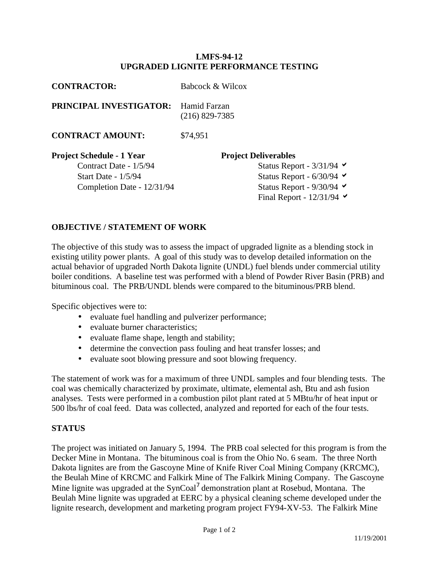## **LMFS-94-12 UPGRADED LIGNITE PERFORMANCE TESTING**

| <b>CONTRACTOR:</b>                                                                                                     | Babcock & Wilcox                                                                                                                                                                            |
|------------------------------------------------------------------------------------------------------------------------|---------------------------------------------------------------------------------------------------------------------------------------------------------------------------------------------|
| <b>PRINCIPAL INVESTIGATOR:</b>                                                                                         | Hamid Farzan<br>$(216)$ 829-7385                                                                                                                                                            |
| <b>CONTRACT AMOUNT:</b>                                                                                                | \$74,951                                                                                                                                                                                    |
| <b>Project Schedule - 1 Year</b><br>Contract Date - 1/5/94<br><b>Start Date - 1/5/94</b><br>Completion Date - 12/31/94 | <b>Project Deliverables</b><br>Status Report - $3/31/94$<br>Status Report - $6/30/94$ $\blacktriangleright$<br>Status Report - $9/30/94$ $\blacktriangleright$<br>Final Report - $12/31/94$ |
|                                                                                                                        |                                                                                                                                                                                             |

## **OBJECTIVE / STATEMENT OF WORK**

The objective of this study was to assess the impact of upgraded lignite as a blending stock in existing utility power plants. A goal of this study was to develop detailed information on the actual behavior of upgraded North Dakota lignite (UNDL) fuel blends under commercial utility boiler conditions. A baseline test was performed with a blend of Powder River Basin (PRB) and bituminous coal. The PRB/UNDL blends were compared to the bituminous/PRB blend.

Specific objectives were to:

- evaluate fuel handling and pulverizer performance;
- evaluate burner characteristics;
- evaluate flame shape, length and stability;
- determine the convection pass fouling and heat transfer losses; and
- evaluate soot blowing pressure and soot blowing frequency.

The statement of work was for a maximum of three UNDL samples and four blending tests. The coal was chemically characterized by proximate, ultimate, elemental ash, Btu and ash fusion analyses. Tests were performed in a combustion pilot plant rated at 5 MBtu/hr of heat input or 500 lbs/hr of coal feed. Data was collected, analyzed and reported for each of the four tests.

## **STATUS**

The project was initiated on January 5, 1994. The PRB coal selected for this program is from the Decker Mine in Montana. The bituminous coal is from the Ohio No. 6 seam. The three North Dakota lignites are from the Gascoyne Mine of Knife River Coal Mining Company (KRCMC), the Beulah Mine of KRCMC and Falkirk Mine of The Falkirk Mining Company. The Gascoyne Mine lignite was upgraded at the SynCoal<sup>7</sup> demonstration plant at Rosebud, Montana. The Beulah Mine lignite was upgraded at EERC by a physical cleaning scheme developed under the lignite research, development and marketing program project FY94-XV-53. The Falkirk Mine